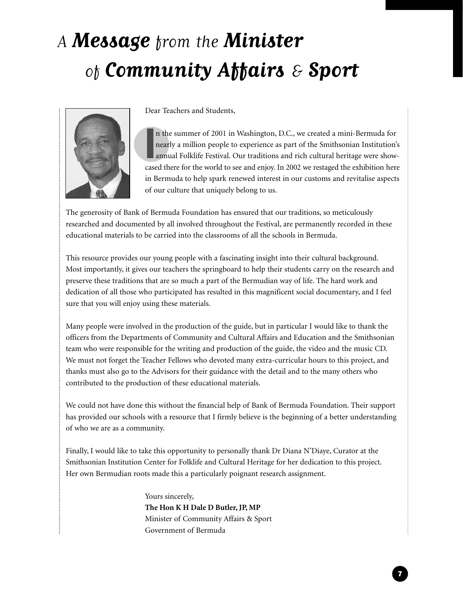## A **Message** from the **Minister** of **Community Affairs** & **Sport**



Dear Teachers and Students,

In the summer of 2001 in Washington, D.C., we created a mini-Bermuda for nearly a million people to experience as part of the Smithsonian Institution's annual Folklife Festival. Our traditions and rich cultural heritage we n the summer of 2001 in Washington, D.C., we created a mini-Bermuda for nearly a million people to experience as part of the Smithsonian Institution's annual Folklife Festival. Our traditions and rich cultural heritage were showin Bermuda to help spark renewed interest in our customs and revitalise aspects of our culture that uniquely belong to us.

The generosity of Bank of Bermuda Foundation has ensured that our traditions, so meticulously researched and documented by all involved throughout the Festival, are permanently recorded in these educational materials to be carried into the classrooms of all the schools in Bermuda.

This resource provides our young people with a fascinating insight into their cultural background. Most importantly, it gives our teachers the springboard to help their students carry on the research and preserve these traditions that are so much a part of the Bermudian way of life. The hard work and dedication of all those who participated has resulted in this magnificent social documentary, and I feel sure that you will enjoy using these materials.

Many people were involved in the production of the guide, but in particular I would like to thank the officers from the Departments of Community and Cultural Affairs and Education and the Smithsonian team who were responsible for the writing and production of the guide, the video and the music CD. We must not forget the Teacher Fellows who devoted many extra-curricular hours to this project, and thanks must also go to the Advisors for their guidance with the detail and to the many others who contributed to the production of these educational materials.

We could not have done this without the financial help of Bank of Bermuda Foundation. Their support has provided our schools with a resource that I firmly believe is the beginning of a better understanding of who we are as a community.

Finally, I would like to take this opportunity to personally thank Dr Diana N'Diaye, Curator at the Smithsonian Institution Center for Folklife and Cultural Heritage for her dedication to this project. Her own Bermudian roots made this a particularly poignant research assignment.

> Yours sincerely, **The Hon K H Dale D Butler, JP, MP** Minister of Community Affairs & Sport Government of Bermuda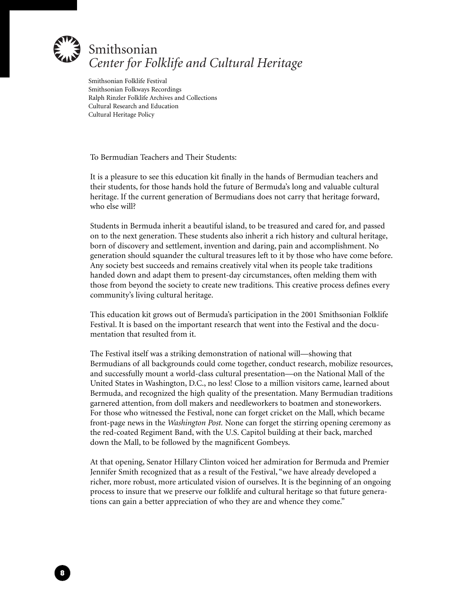

Smithsonian Folklife Festival Smithsonian Folkways Recordings Ralph Rinzler Folklife Archives and Collections Cultural Research and Education Cultural Heritage Policy

To Bermudian Teachers and Their Students:

8

It is a pleasure to see this education kit finally in the hands of Bermudian teachers and their students, for those hands hold the future of Bermuda's long and valuable cultural heritage. If the current generation of Bermudians does not carry that heritage forward, who else will?

Students in Bermuda inherit a beautiful island, to be treasured and cared for, and passed on to the next generation. These students also inherit a rich history and cultural heritage, born of discovery and settlement, invention and daring, pain and accomplishment. No generation should squander the cultural treasures left to it by those who have come before. Any society best succeeds and remains creatively vital when its people take traditions handed down and adapt them to present-day circumstances, often melding them with those from beyond the society to create new traditions. This creative process defines every community's living cultural heritage.

This education kit grows out of Bermuda's participation in the 2001 Smithsonian Folklife Festival. It is based on the important research that went into the Festival and the documentation that resulted from it.

The Festival itself was a striking demonstration of national will—showing that Bermudians of all backgrounds could come together, conduct research, mobilize resources, and successfully mount a world-class cultural presentation—on the National Mall of the United States in Washington, D.C., no less! Close to a million visitors came, learned about Bermuda, and recognized the high quality of the presentation. Many Bermudian traditions garnered attention, from doll makers and needleworkers to boatmen and stoneworkers. For those who witnessed the Festival, none can forget cricket on the Mall, which became front-page news in the *Washington Post.* None can forget the stirring opening ceremony as the red-coated Regiment Band, with the U.S. Capitol building at their back, marched down the Mall, to be followed by the magnificent Gombeys.

At that opening, Senator Hillary Clinton voiced her admiration for Bermuda and Premier Jennifer Smith recognized that as a result of the Festival, "we have already developed a richer, more robust, more articulated vision of ourselves. It is the beginning of an ongoing process to insure that we preserve our folklife and cultural heritage so that future generations can gain a better appreciation of who they are and whence they come."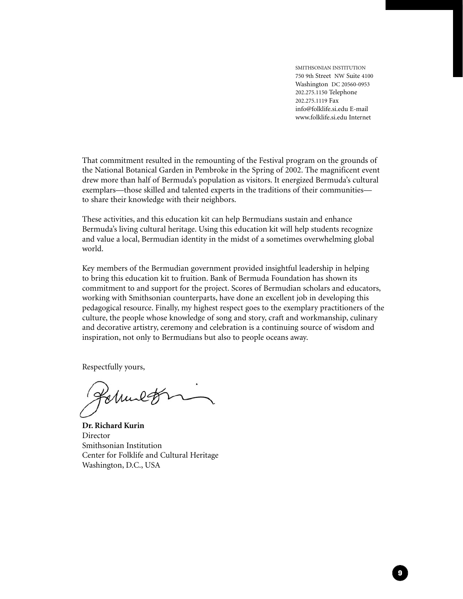SMITHSONIAN INSTITUTION 750 9th Street NW Suite 4100 Washington DC 20560-0953 202.275.1150 Telephone 202.275.1119 Fax info@folklife.si.edu E-mail www.folklife.si.edu Internet

9

That commitment resulted in the remounting of the Festival program on the grounds of the National Botanical Garden in Pembroke in the Spring of 2002. The magnificent event drew more than half of Bermuda's population as visitors. It energized Bermuda's cultural exemplars—those skilled and talented experts in the traditions of their communities to share their knowledge with their neighbors.

These activities, and this education kit can help Bermudians sustain and enhance Bermuda's living cultural heritage. Using this education kit will help students recognize and value a local, Bermudian identity in the midst of a sometimes overwhelming global world.

Key members of the Bermudian government provided insightful leadership in helping to bring this education kit to fruition. Bank of Bermuda Foundation has shown its commitment to and support for the project. Scores of Bermudian scholars and educators, working with Smithsonian counterparts, have done an excellent job in developing this pedagogical resource. Finally, my highest respect goes to the exemplary practitioners of the culture, the people whose knowledge of song and story, craft and workmanship, culinary and decorative artistry, ceremony and celebration is a continuing source of wisdom and inspiration, not only to Bermudians but also to people oceans away.

Respectfully yours,

Holmet

**Dr. Richard Kurin** Director Smithsonian Institution Center for Folklife and Cultural Heritage Washington, D.C., USA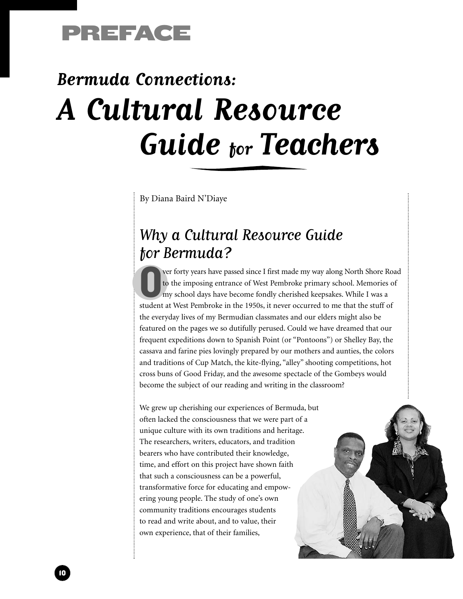

# **Bermuda Connections: A Cultural Resource Guide for Teachers**

By Diana Baird N'Diaye

### Why a Cultural Resource Guide for Bermuda?

Over forty years have passed since I first made my way along North Shore Road<br>to the imposing entrance of West Pembroke primary school. Memories of<br>my school days have become fondly cherished keepsakes. While I was a<br>stude to the imposing entrance of West Pembroke primary school. Memories of my school days have become fondly cherished keepsakes. While I was a student at West Pembroke in the 1950s, it never occurred to me that the stuff of the everyday lives of my Bermudian classmates and our elders might also be featured on the pages we so dutifully perused. Could we have dreamed that our frequent expeditions down to Spanish Point (or "Pontoons") or Shelley Bay, the cassava and farine pies lovingly prepared by our mothers and aunties, the colors and traditions of Cup Match, the kite-flying, "alley" shooting competitions, hot cross buns of Good Friday, and the awesome spectacle of the Gombeys would become the subject of our reading and writing in the classroom?

We grew up cherishing our experiences of Bermuda, but often lacked the consciousness that we were part of a unique culture with its own traditions and heritage. The researchers, writers, educators, and tradition bearers who have contributed their knowledge, time, and effort on this project have shown faith that such a consciousness can be a powerful, transformative force for educating and empowering young people. The study of one's own community traditions encourages students to read and write about, and to value, their own experience, that of their families,

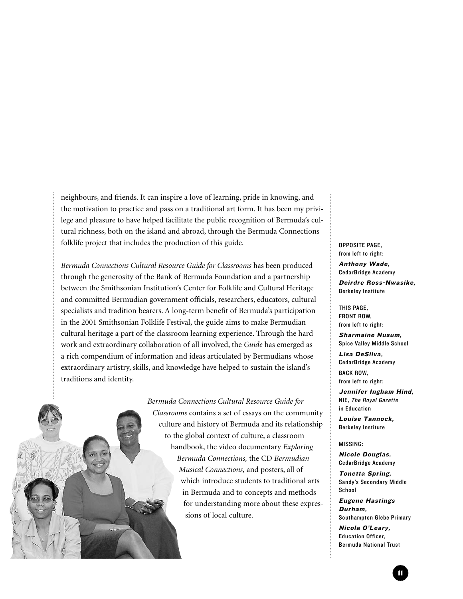neighbours, and friends. It can inspire a love of learning, pride in knowing, and the motivation to practice and pass on a traditional art form. It has been my privilege and pleasure to have helped facilitate the public recognition of Bermuda's cultural richness, both on the island and abroad, through the Bermuda Connections folklife project that includes the production of this guide.

*Bermuda Connections Cultural Resource Guide for Classrooms* has been produced through the generosity of the Bank of Bermuda Foundation and a partnership between the Smithsonian Institution's Center for Folklife and Cultural Heritage and committed Bermudian government officials, researchers, educators, cultural specialists and tradition bearers. A long-term benefit of Bermuda's participation in the 2001 Smithsonian Folklife Festival, the guide aims to make Bermudian cultural heritage a part of the classroom learning experience. Through the hard work and extraordinary collaboration of all involved, the *Guide* has emerged as a rich compendium of information and ideas articulated by Bermudians whose extraordinary artistry, skills, and knowledge have helped to sustain the island's traditions and identity.

> *Bermuda Connections Cultural Resource Guide for Classrooms* contains a set of essays on the community culture and history of Bermuda and its relationship to the global context of culture, a classroom handbook, the video documentary *Exploring Bermuda Connections,* the CD *Bermudian Musical Connections,* and posters, all of which introduce students to traditional arts in Bermuda and to concepts and methods for understanding more about these expressions of local culture.

OPPOSITE PAGE, from left to right:

Anthony Wade, CedarBridge Academy

Deirdre Ross-Nwasike, Berkeley Institute

THIS PAGE, FRONT ROW, from left to right:

Sharmaine Nusum, Spice Valley Middle School

Lisa DeSilva, CedarBridge Academy BACK ROW, from left to right:

Jennifer Ingham Hind, NIE, The Royal Gazette in Education

Louise Tannock, Berkeley Institute

MISSING:

Nicole Douglas, CedarBridge Academy

Tonetta Spring, Sandy's Secondary Middle School

Eugene Hastings Durham, Southampton Glebe Primary

Nicola O'Leary, Education Officer, Bermuda National Trust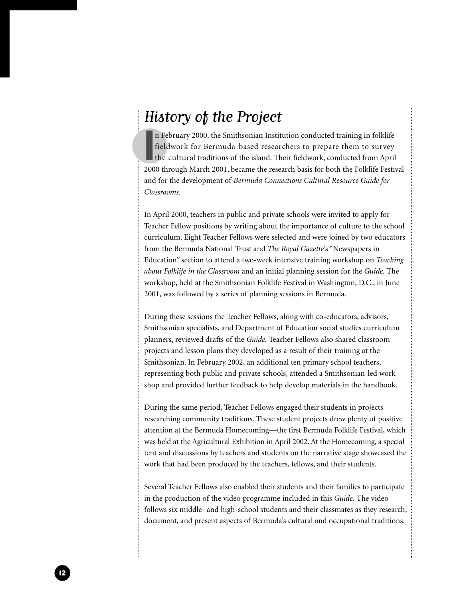#### History of the Project

In February 2000, the Smithsonian Institution conducted training in folklife fieldwork for Bermuda-based researchers to prepare them to survey the cultural traditions of the island. Their fieldwork, conducted from April 20 n February 2000, the Smithsonian Institution conducted training in folklife fieldwork for Bermuda-based researchers to prepare them to survey the cultural traditions of the island. Their fieldwork, conducted from April and for the development of *Bermuda Connections Cultural Resource Guide for Classrooms.*

In April 2000, teachers in public and private schools were invited to apply for Teacher Fellow positions by writing about the importance of culture to the school curriculum. Eight Teacher Fellows were selected and were joined by two educators from the Bermuda National Trust and *The Royal Gazette*'s "Newspapers in Education" section to attend a two-week intensive training workshop on *Teaching about Folklife in the Classroom* and an initial planning session for the *Guide.* The workshop, held at the Smithsonian Folklife Festival in Washington, D.C., in June 2001, was followed by a series of planning sessions in Bermuda.

During these sessions the Teacher Fellows, along with co-educators, advisors, Smithsonian specialists, and Department of Education social studies curriculum planners, reviewed drafts of the *Guide.* Teacher Fellows also shared classroom projects and lesson plans they developed as a result of their training at the Smithsonian. In February 2002, an additional ten primary school teachers, representing both public and private schools, attended a Smithsonian-led workshop and provided further feedback to help develop materials in the handbook.

During the same period, Teacher Fellows engaged their students in projects researching community traditions. These student projects drew plenty of positive attention at the Bermuda Homecoming—the first Bermuda Folklife Festival, which was held at the Agricultural Exhibition in April 2002. At the Homecoming, a special tent and discussions by teachers and students on the narrative stage showcased the work that had been produced by the teachers, fellows, and their students.

Several Teacher Fellows also enabled their students and their families to participate in the production of the video programme included in this *Guide.* The video follows six middle- and high-school students and their classmates as they research, document, and present aspects of Bermuda's cultural and occupational traditions.